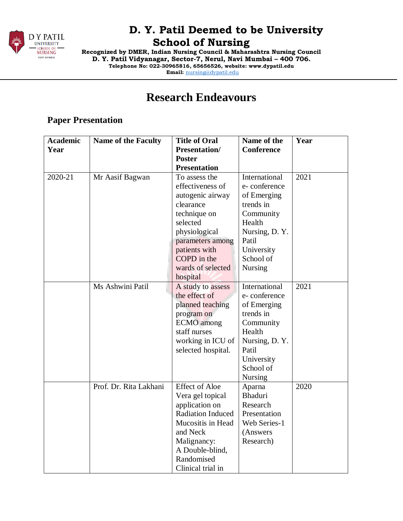

**Recognized by DMER, Indian Nursing Council & Maharashtra Nursing Council D. Y. Patil Vidyanagar, Sector-7, Nerul, Navi Mumbai – 400 706. Telephone No: 022-30965816, 65656526, website: www.dypatil.edu Email:** [nursing@dypatil.edu](mailto:nursing@dypatil.edu)

# **Research Endeavours**

### **Paper Presentation**

| <b>Academic</b> | <b>Name of the Faculty</b> | <b>Title of Oral</b>     | Name of the       | Year |
|-----------------|----------------------------|--------------------------|-------------------|------|
| Year            |                            | <b>Presentation/</b>     | <b>Conference</b> |      |
|                 |                            | <b>Poster</b>            |                   |      |
|                 |                            | <b>Presentation</b>      |                   |      |
| 2020-21         | Mr Aasif Bagwan            | To assess the            | International     | 2021 |
|                 |                            | effectiveness of         | e-conference      |      |
|                 |                            | autogenic airway         | of Emerging       |      |
|                 |                            | clearance                | trends in         |      |
|                 |                            | technique on             | Community         |      |
|                 |                            | selected                 | Health            |      |
|                 |                            | physiological            | Nursing, D.Y.     |      |
|                 |                            | parameters among         | Patil             |      |
|                 |                            | patients with            | University        |      |
|                 |                            | COPD in the              | School of         |      |
|                 |                            | wards of selected        | <b>Nursing</b>    |      |
|                 |                            | hospital                 |                   |      |
|                 | Ms Ashwini Patil           | A study to assess        | International     | 2021 |
|                 |                            | the effect of            | e-conference      |      |
|                 |                            | planned teaching         | of Emerging       |      |
|                 |                            | program on               | trends in         |      |
|                 |                            | <b>ECMO</b> among        | Community         |      |
|                 |                            | staff nurses             | Health            |      |
|                 |                            | working in ICU of        | Nursing, D.Y.     |      |
|                 |                            | selected hospital.       | Patil             |      |
|                 |                            |                          | University        |      |
|                 |                            |                          | School of         |      |
|                 |                            |                          | Nursing           |      |
|                 | Prof. Dr. Rita Lakhani     | <b>Effect of Aloe</b>    | Aparna            | 2020 |
|                 |                            | Vera gel topical         | <b>Bhaduri</b>    |      |
|                 |                            | application on           | Research          |      |
|                 |                            | <b>Radiation Induced</b> | Presentation      |      |
|                 |                            | Mucositis in Head        | Web Series-1      |      |
|                 |                            | and Neck                 | (Answers          |      |
|                 |                            | Malignancy:              | Research)         |      |
|                 |                            | A Double-blind,          |                   |      |
|                 |                            | Randomised               |                   |      |
|                 |                            | Clinical trial in        |                   |      |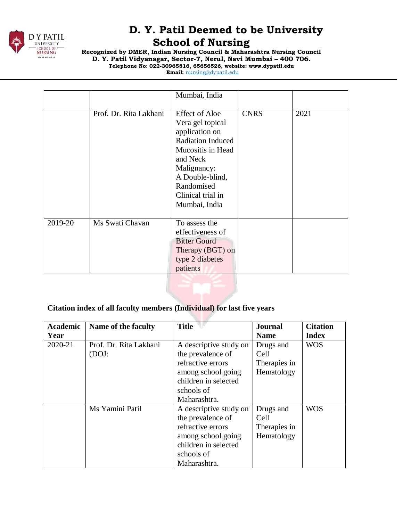

**Recognized by DMER, Indian Nursing Council & Maharashtra Nursing Council D. Y. Patil Vidyanagar, Sector-7, Nerul, Navi Mumbai – 400 706. Telephone No: 022-30965816, 65656526, website: www.dypatil.edu** 

**Email:** [nursing@dypatil.edu](mailto:nursing@dypatil.edu)

|         |                        | Mumbai, India                                                                                                                                                                                                  |             |      |
|---------|------------------------|----------------------------------------------------------------------------------------------------------------------------------------------------------------------------------------------------------------|-------------|------|
|         | Prof. Dr. Rita Lakhani | <b>Effect of Aloe</b><br>Vera gel topical<br>application on<br><b>Radiation Induced</b><br>Mucositis in Head<br>and Neck<br>Malignancy:<br>A Double-blind,<br>Randomised<br>Clinical trial in<br>Mumbai, India | <b>CNRS</b> | 2021 |
| 2019-20 | Ms Swati Chavan        | To assess the<br>effectiveness of<br><b>Bitter Gourd</b><br>Therapy (BGT) on<br>type 2 diabetes<br>patients                                                                                                    |             |      |

#### **Citation index of all faculty members (Individual) for last five years**

| <b>Academic</b> | Name of the faculty    | <b>Title</b>           | <b>Journal</b> | <b>Citation</b> |
|-----------------|------------------------|------------------------|----------------|-----------------|
| Year            |                        |                        | <b>Name</b>    | <b>Index</b>    |
| 2020-21         | Prof. Dr. Rita Lakhani | A descriptive study on | Drugs and      | <b>WOS</b>      |
|                 | (DOJ:                  | the prevalence of      | Cell           |                 |
|                 |                        | refractive errors      | Therapies in   |                 |
|                 |                        | among school going     | Hematology     |                 |
|                 |                        | children in selected   |                |                 |
|                 |                        | schools of             |                |                 |
|                 |                        | Maharashtra.           |                |                 |
|                 | Ms Yamini Patil        | A descriptive study on | Drugs and      | <b>WOS</b>      |
|                 |                        | the prevalence of      | Cell           |                 |
|                 |                        | refractive errors      | Therapies in   |                 |
|                 |                        | among school going     | Hematology     |                 |
|                 |                        | children in selected   |                |                 |
|                 |                        | schools of             |                |                 |
|                 |                        | Maharashtra.           |                |                 |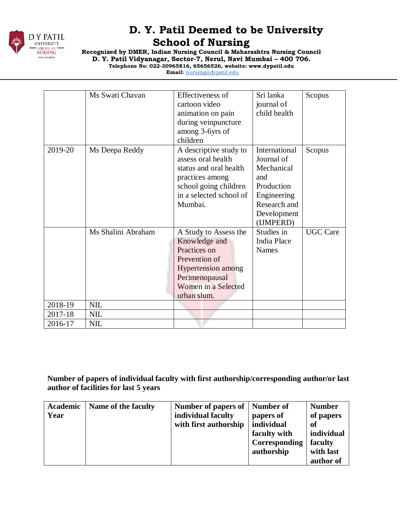

**Recognized by DMER, Indian Nursing Council & Maharashtra Nursing Council D. Y. Patil Vidyanagar, Sector-7, Nerul, Navi Mumbai – 400 706.**

**Telephone No: 022-30965816, 65656526, website: www.dypatil.edu Email:** [nursing@dypatil.edu](mailto:nursing@dypatil.edu)

|         | Ms Swati Chavan    | Effectiveness of          | Sri lanka          | Scopus          |
|---------|--------------------|---------------------------|--------------------|-----------------|
|         |                    | cartoon video             | journal of         |                 |
|         |                    | animation on pain         | child health       |                 |
|         |                    | during veinpuncture       |                    |                 |
|         |                    | among 3-6yrs of           |                    |                 |
|         |                    | children                  |                    |                 |
| 2019-20 | Ms Deepa Reddy     | A descriptive study to    | International      | Scopus          |
|         |                    | assess oral health        | Journal of         |                 |
|         |                    | status and oral health    | Mechanical         |                 |
|         |                    | practices among           | and                |                 |
|         |                    | school going children     | Production         |                 |
|         |                    | in a selected school of   | Engineering        |                 |
|         |                    | Mumbai.                   | Research and       |                 |
|         |                    |                           | Development        |                 |
|         |                    |                           | (IJMPERD)          |                 |
|         | Ms Shalini Abraham | A Study to Assess the     | Studies in         | <b>UGC Care</b> |
|         |                    | Knowledge and             | <b>India Place</b> |                 |
|         |                    | Practices on              | <b>Names</b>       |                 |
|         |                    | Prevention of             |                    |                 |
|         |                    | <b>Hypertension</b> among |                    |                 |
|         |                    | Perimenopausal            |                    |                 |
|         |                    | Women in a Selected       |                    |                 |
|         |                    | urban slum.               |                    |                 |
| 2018-19 | <b>NIL</b>         |                           |                    |                 |
| 2017-18 | <b>NIL</b>         |                           |                    |                 |
| 2016-17 | <b>NIL</b>         |                           |                    |                 |

**Number of papers of individual faculty with first authorship/corresponding author/or last author of facilities for last 5 years**

| Academic | Name of the faculty | Number of papers of   Number of |               | <b>Number</b> |
|----------|---------------------|---------------------------------|---------------|---------------|
| Year     |                     | individual faculty              | papers of     | of papers     |
|          |                     | with first authorship           | individual    | of            |
|          |                     |                                 | faculty with  | individual    |
|          |                     |                                 | Corresponding | faculty       |
|          |                     |                                 | authorship    | with last     |
|          |                     |                                 |               | author of     |